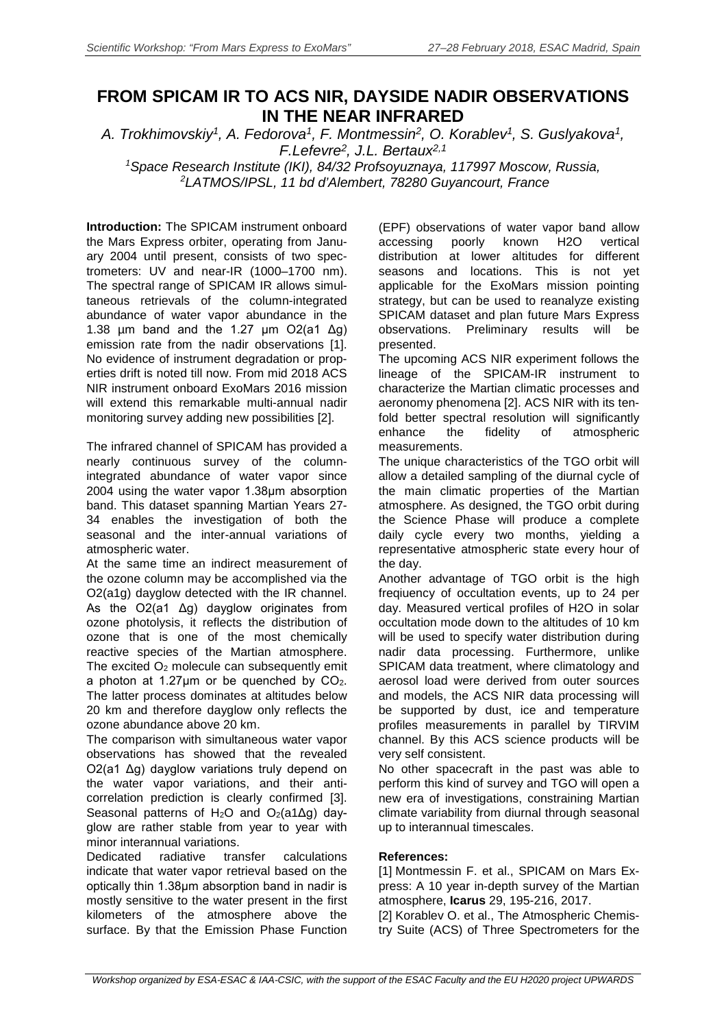## **FROM SPICAM IR TO ACS NIR, DAYSIDE NADIR OBSERVATIONS IN THE NEAR INFRARED**

*A. Trokhimovskiy1, A. Fedorova1, F. Montmessin2, O. Korablev1, S. Guslyakova1, F.Lefevre2, J.L. Bertaux2,1*

*1 Space Research Institute (IKI), 84/32 Profsoyuznaya, 117997 Moscow, Russia, 2 LATMOS/IPSL, 11 bd d'Alembert, 78280 Guyancourt, France*

**Introduction:** The SPICAM instrument onboard the Mars Express orbiter, operating from January 2004 until present, consists of two spectrometers: UV and near-IR (1000–1700 nm). The spectral range of SPICAM IR allows simultaneous retrievals of the column-integrated abundance of water vapor abundance in the 1.38  $\mu$ m band and the 1.27  $\mu$ m O2(a1  $\Delta$ g) emission rate from the nadir observations [1]. No evidence of instrument degradation or properties drift is noted till now. From mid 2018 ACS NIR instrument onboard ExoMars 2016 mission will extend this remarkable multi-annual nadir monitoring survey adding new possibilities [2].

The infrared channel of SPICAM has provided a nearly continuous survey of the columnintegrated abundance of water vapor since 2004 using the water vapor 1.38μm absorption band. This dataset spanning Martian Years 27- 34 enables the investigation of both the seasonal and the inter-annual variations of atmospheric water.

At the same time an indirect measurement of the ozone column may be accomplished via the O2(a1g) dayglow detected with the IR channel. As the O2(a1 Δg) dayglow originates from ozone photolysis, it reflects the distribution of ozone that is one of the most chemically reactive species of the Martian atmosphere. The excited  $O<sub>2</sub>$  molecule can subsequently emit a photon at 1.27 $\mu$ m or be quenched by  $CO<sub>2</sub>$ . The latter process dominates at altitudes below 20 km and therefore dayglow only reflects the ozone abundance above 20 km.

The comparison with simultaneous water vapor observations has showed that the revealed O2(a1 Δg) dayglow variations truly depend on the water vapor variations, and their anticorrelation prediction is clearly confirmed [3]. Seasonal patterns of H<sub>2</sub>O and O<sub>2</sub>(a1Δg) dayglow are rather stable from year to year with minor interannual variations.

Dedicated radiative transfer calculations indicate that water vapor retrieval based on the optically thin 1.38μm absorption band in nadir is mostly sensitive to the water present in the first kilometers of the atmosphere above the surface. By that the Emission Phase Function

(EPF) observations of water vapor band allow accessing poorly known H2O vertical distribution at lower altitudes for different seasons and locations. This is not yet applicable for the ExoMars mission pointing strategy, but can be used to reanalyze existing SPICAM dataset and plan future Mars Express observations. Preliminary results will be presented.

The upcoming ACS NIR experiment follows the lineage of the SPICAM-IR instrument to characterize the Martian climatic processes and aeronomy phenomena [2]. ACS NIR with its tenfold better spectral resolution will significantly<br>enhance the fidelity of atmospheric atmospheric measurements.

The unique characteristics of the TGO orbit will allow a detailed sampling of the diurnal cycle of the main climatic properties of the Martian atmosphere. As designed, the TGO orbit during the Science Phase will produce a complete daily cycle every two months, yielding a representative atmospheric state every hour of the day.

Another advantage of TGO orbit is the high freqiuency of occultation events, up to 24 per day. Measured vertical profiles of H2O in solar occultation mode down to the altitudes of 10 km will be used to specify water distribution during nadir data processing. Furthermore, unlike SPICAM data treatment, where climatology and aerosol load were derived from outer sources and models, the ACS NIR data processing will be supported by dust, ice and temperature profiles measurements in parallel by TIRVIM channel. By this ACS science products will be very self consistent.

No other spacecraft in the past was able to perform this kind of survey and TGO will open a new era of investigations, constraining Martian climate variability from diurnal through seasonal up to interannual timescales.

## **References:**

[1] Montmessin F. et al., SPICAM on Mars Express: A 10 year in-depth survey of the Martian atmosphere, **Icarus** 29, 195-216, 2017.

[2] Korablev O. et al., The Atmospheric Chemistry Suite (ACS) of Three Spectrometers for the